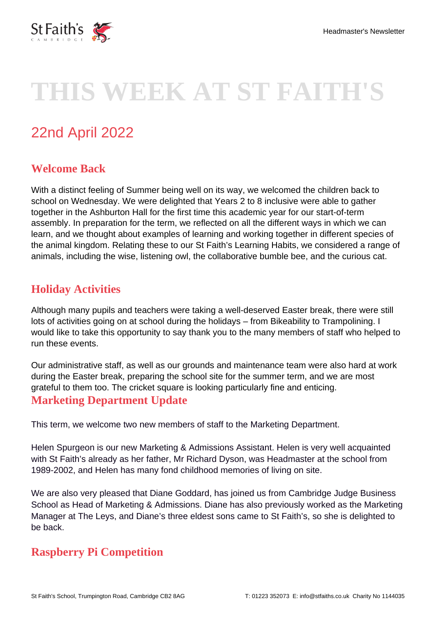

# **THIS WEEK AT ST FAITH'S**

## 22nd April 2022

### **Welcome Back**

With a distinct feeling of Summer being well on its way, we welcomed the children back to school on Wednesday. We were delighted that Years 2 to 8 inclusive were able to gather together in the Ashburton Hall for the first time this academic year for our start-of-term assembly. In preparation for the term, we reflected on all the different ways in which we can learn, and we thought about examples of learning and working together in different species of the animal kingdom. Relating these to our St Faith's Learning Habits, we considered a range of animals, including the wise, listening owl, the collaborative bumble bee, and the curious cat.

#### **Holiday Activities**

Although many pupils and teachers were taking a well-deserved Easter break, there were still lots of activities going on at school during the holidays – from Bikeability to Trampolining. I would like to take this opportunity to say thank you to the many members of staff who helped to run these events.

Our administrative staff, as well as our grounds and maintenance team were also hard at work during the Easter break, preparing the school site for the summer term, and we are most grateful to them too. The cricket square is looking particularly fine and enticing.

#### **Marketing Department Update**

This term, we welcome two new members of staff to the Marketing Department.

Helen Spurgeon is our new Marketing & Admissions Assistant. Helen is very well acquainted with St Faith's already as her father, Mr Richard Dyson, was Headmaster at the school from 1989-2002, and Helen has many fond childhood memories of living on site.

We are also very pleased that Diane Goddard, has joined us from Cambridge Judge Business School as Head of Marketing & Admissions. Diane has also previously worked as the Marketing Manager at The Leys, and Diane's three eldest sons came to St Faith's, so she is delighted to be back.

#### **Raspberry Pi Competition**